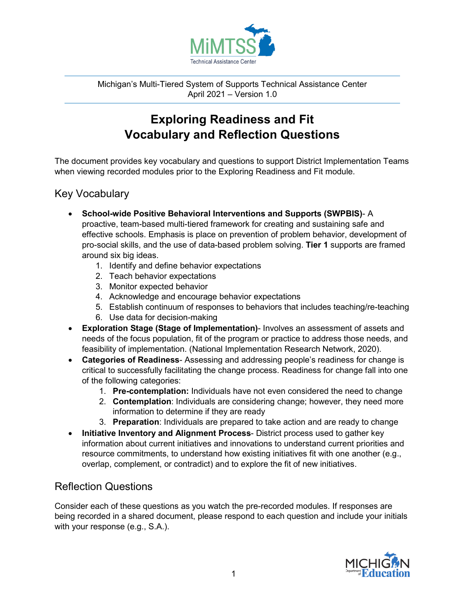

Michigan's Multi-Tiered System of Supports Technical Assistance Center April 2021 – Version 1.0

## **Exploring Readiness and Fit Vocabulary and Reflection Questions**

The document provides key vocabulary and questions to support District Implementation Teams when viewing recorded modules prior to the Exploring Readiness and Fit module.

## Key Vocabulary

- **School-wide Positive Behavioral Interventions and Supports (SWPBIS)** A proactive, team-based multi-tiered framework for creating and sustaining safe and effective schools. Emphasis is place on prevention of problem behavior, development of pro-social skills, and the use of data-based problem solving. **Tier 1** supports are framed around six big ideas.
	- 1. Identify and define behavior expectations
	- 2. Teach behavior expectations
	- 3. Monitor expected behavior
	- 4. Acknowledge and encourage behavior expectations
	- 5. Establish continuum of responses to behaviors that includes teaching/re-teaching
	- 6. Use data for decision-making
- **Exploration Stage (Stage of Implementation)** Involves an assessment of assets and needs of the focus population, fit of the program or practice to address those needs, and feasibility of implementation. (National Implementation Research Network, 2020).
- **Categories of Readiness** Assessing and addressing people's readiness for change is critical to successfully facilitating the change process. Readiness for change fall into one of the following categories:
	- 1. **Pre-contemplation:** Individuals have not even considered the need to change
	- 2. **Contemplation**: Individuals are considering change; however, they need more information to determine if they are ready
	- 3. **Preparation**: Individuals are prepared to take action and are ready to change
- **Initiative Inventory and Alignment Process** District process used to gather key information about current initiatives and innovations to understand current priorities and resource commitments, to understand how existing initiatives fit with one another (e.g., overlap, complement, or contradict) and to explore the fit of new initiatives.

## Reflection Questions

Consider each of these questions as you watch the pre-recorded modules. If responses are being recorded in a shared document, please respond to each question and include your initials with your response (e.g., S.A.).